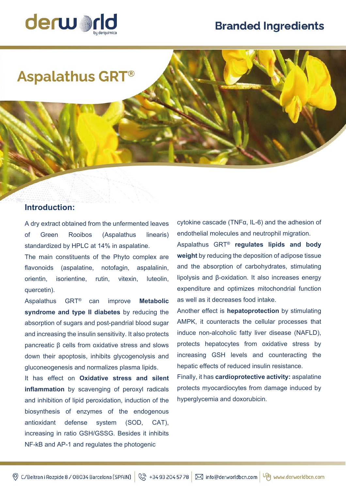# **Branded Ingredients**



# **Aspalathus GRT®**

## **Introduction:**

A dry extract obtained from the unfermented leaves of Green Rooibos (Aspalathus linearis) standardized by HPLC at 14% in aspalatine.

The main constituents of the Phyto complex are flavonoids (aspalatine, notofagin, aspalalinin, orientin, isorientine, rutin, vitexin, luteolin, quercetin).

Aspalathus GRT® can improve **Metabolic syndrome and type II diabetes** by reducing the absorption of sugars and post-pandrial blood sugar and increasing the insulin sensitivity. It also protects pancreatic β cells from oxidative stress and slows down their apoptosis, inhibits glycogenolysis and gluconeogenesis and normalizes plasma lipids.

It has effect on **Oxidative stress and silent inflammation** by scavenging of peroxyl radicals and inhibition of lipid peroxidation, induction of the biosynthesis of enzymes of the endogenous antioxidant defense system (SOD, CAT), increasing in ratio GSH/GSSG. Besides it inhibits NF-kB and AP-1 and regulates the photogenic

cytokine cascade (TNFα, IL-6) and the adhesion of endothelial molecules and neutrophil migration. Aspalathus GRT® **regulates lipids and body weight** by reducing the deposition of adipose tissue and the absorption of carbohydrates, stimulating lipolysis and β-oxidation. It also increases energy expenditure and optimizes mitochondrial function as well as it decreases food intake.

Another effect is **hepatoprotection** by stimulating AMPK, it counteracts the cellular processes that induce non-alcoholic fatty liver disease (NAFLD), protects hepatocytes from oxidative stress by increasing GSH levels and counteracting the hepatic effects of reduced insulin resistance.

Finally, it has **cardioprotective activity:** aspalatine protects myocardiocytes from damage induced by hyperglycemia and doxorubicin.